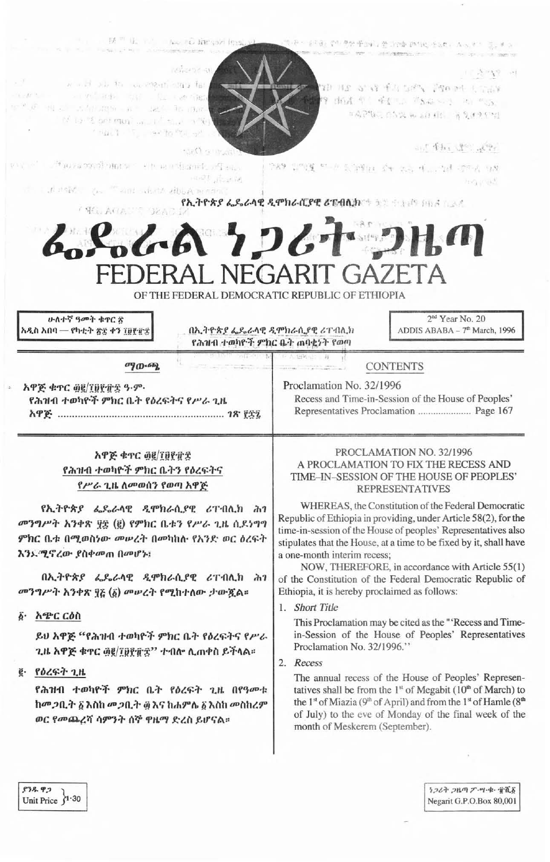| now peak<br>- 91                                                                                                                                                                                               | $\mathcal{A}\subseteq \mathcal{G}_{\mathcal{A}}\cup \mathcal{E}_{\mathcal{B}}\quad \text{ or }$                                                  |  |  |  |  |
|----------------------------------------------------------------------------------------------------------------------------------------------------------------------------------------------------------------|--------------------------------------------------------------------------------------------------------------------------------------------------|--|--|--|--|
| would six the confliction and fall<br>TERM - STY RES ON THE RESIDENCE                                                                                                                                          | NO AS ANY TALENT PROOF COUNT<br>19 出版 中,虽是100 单S& 500 - 100 中SS。                                                                                 |  |  |  |  |
| $\mathbb{P}^{(p)}\backslash\mathcal{P}=\{\mathbb{Q}\in\mathbb{Z}^p\mid \mathcal{L}^p(\mathcal{H})\backslash\mathcal{R}\}^{p_0}=\mathbb{R}^{p_0}\cup\mathcal{H}^p(\mathbb{R}^p)\cap\mathcal{H}^p(\mathbb{R}^p)$ |                                                                                                                                                  |  |  |  |  |
| of the st permanent until the limits.                                                                                                                                                                          | 中国产物的 在各级 机运行间的 一等度保护中的                                                                                                                          |  |  |  |  |
| The lot of her to the set                                                                                                                                                                                      |                                                                                                                                                  |  |  |  |  |
| <b>Sell annually</b>                                                                                                                                                                                           | ant 手机 19 mp                                                                                                                                     |  |  |  |  |
| 四、四、 (4) 10 24 99. 第9期19 年11 11 11 11 12 13 14 15 15 15 16                                                                                                                                                     | 中國 监测度 中国 新理性 全相关的 中心的建 空中表 白喉                                                                                                                   |  |  |  |  |
| 1991 元记的<br>it is not be "will dute displacement                                                                                                                                                               | hog cash                                                                                                                                         |  |  |  |  |
|                                                                                                                                                                                                                | የኢትዮጵያ ፌዴራላዊ ዲሞክራሲያዊ ሪፐብሲክ ተልዩ የተመረጥ አገልግሎት                                                                                                      |  |  |  |  |
| / WELLACLESS DEADS                                                                                                                                                                                             |                                                                                                                                                  |  |  |  |  |
| んとんん ケンムナ コルの<br>OF THE FEDERAL DEMOCRATIC REPUBLIC OF ETHIOPIA                                                                                                                                                | FEDERAL NEGARIT GAZETA                                                                                                                           |  |  |  |  |
|                                                                                                                                                                                                                |                                                                                                                                                  |  |  |  |  |
| ሁለተኛ ዓመት ቁኖር ኛ<br>አዲስ አበባ — የካቲት ጽ፰ ቀን ፲፱፻፹፰                                                                                                                                                                   | 2 <sup>nd</sup> Year No. 20<br>በኢትዮጵያ ፌዴራላዊ ዲሞክራሲያዊ ሪፐብሊክ<br>ADDIS ABABA - 7 <sup>th</sup> March, 1996<br>የሕዝብ ተወካዮች ምክር ቤት ጠባቂነት የወጣ            |  |  |  |  |
| wa wasan<br>$\sigma$ <sup>0</sup> $\sigma$ <sup>66</sup> $\alpha$                                                                                                                                              | TO A 1996-10 B<br><b>CONTENTS</b><br>THE CORPORATION OF THE CONTRACTOR                                                                           |  |  |  |  |
|                                                                                                                                                                                                                |                                                                                                                                                  |  |  |  |  |
| አዋጅ ቁጥር ፴፪/፲፱፻፹፰ ዓ.ም.<br>የሕዝብ ተወካዮች ምክር ቤት የዕረፍትና የሥራ ጊዜ                                                                                                                                                       | Proclamation No. 32/1996<br>Recess and Time-in-Session of the House of Peoples'                                                                  |  |  |  |  |
|                                                                                                                                                                                                                | Representatives Proclamation  Page 167                                                                                                           |  |  |  |  |
| አዋጅ ቁጥር ፴፪/፲፱፻፹፰                                                                                                                                                                                               | PROCLAMATION NO. 32/1996                                                                                                                         |  |  |  |  |
| የሕዝብ ተወካዮች ምክር ቤትን የዕረፍትና                                                                                                                                                                                      | A PROCLAMATION TO FIX THE RECESS AND                                                                                                             |  |  |  |  |
| የሥራ ጊዜ ለመወሰን የወጣ አዋጅ                                                                                                                                                                                           | TIME-IN-SESSION OF THE HOUSE OF PEOPLES'                                                                                                         |  |  |  |  |
|                                                                                                                                                                                                                | <b>REPRESENTATIVES</b><br>WHEREAS, the Constitution of the Federal Democratic<br>Republic of Ethiopia in providing, under Article 58(2), for the |  |  |  |  |
| የኢትዮጵያ ፌዴራላዊ ዲሞክራሲያዊ ሪፐብሊክ ሕገ                                                                                                                                                                                  |                                                                                                                                                  |  |  |  |  |
| መንግሥት አንቀጽ ፶፰ (፪) የምክር ቤቱን የሥራ ጊዜ ሲደነግግ                                                                                                                                                                        |                                                                                                                                                  |  |  |  |  |
| ምክር ቤቱ በሚወስነው መሠረት በመካከሉ የአንድ ወር ዕረፍት                                                                                                                                                                          | time-in-session of the House of peoples' Representatives also<br>stipulates that the House, at a time to be fixed by it, shall have              |  |  |  |  |
| እንኡሚኖረው ያስቀመጠ በመሆኑ፤                                                                                                                                                                                            | a one-month interim recess;                                                                                                                      |  |  |  |  |
|                                                                                                                                                                                                                | NOW, THEREFORE, in accordance with Article 55(1)                                                                                                 |  |  |  |  |
| በኢተዮጵያ ፌጼራላዊ ዲሞክራሲያዊ ሪፐብሊክ ሕገ                                                                                                                                                                                  | of the Constitution of the Federal Democratic Republic of                                                                                        |  |  |  |  |
| መንግሥት አንቀጽ ፶፩ (፩) መሠረት የሚከተለው ታውጇል።                                                                                                                                                                            | Ethiopia, it is hereby proclaimed as follows:                                                                                                    |  |  |  |  |
| አጭር ርዕስ<br>$\ddot{\mathbf{b}}$ .                                                                                                                                                                               | 1. Short Title                                                                                                                                   |  |  |  |  |
|                                                                                                                                                                                                                | This Proclamation may be cited as the "'Recess and Time-                                                                                         |  |  |  |  |
| ይሀ አዋጅ "የሕዝብ ተወካዮች ምክር ቤት የዕረፍትና የሥራ<br>$8\%$ has $38/332.22$ the $4$                                                                                                                                          | in-Session of the House of Peoples' Representatives<br>Proclamation No. 32/1996."                                                                |  |  |  |  |
|                                                                                                                                                                                                                |                                                                                                                                                  |  |  |  |  |

**16 Tannah less** 

ጊዜ አዋጅ ቁጥር ፴፪/፲፱፻፹፰'' ተብሎ ሲጠቀስ ይችላል።

# g. የዕረፍት ጊዜ

የሕዝብ ተወካዮች ምክር ቤት የዕረፍት ጊዜ በየዓመቱ ከመጋቢት ፩ እስከ መጋቢት ፴ እና ከሐምሌ ፩ እስከ መስከረም ወር የመጨረሻ ሳምንት ሰኞ ዋዜማ ድረስ ይሆናል።

# 2. Recess

The annual recess of the House of Peoples' Representatives shall be from the  $1<sup>st</sup>$  of Megabit ( $10<sup>th</sup>$  of March) to the 1<sup>st</sup> of Miazia ( $9<sup>th</sup>$  of April) and from the 1<sup>st</sup> of Hamle ( $8<sup>th</sup>$ of July) to the eve of Monday of the final week of the month of Meskerem (September).